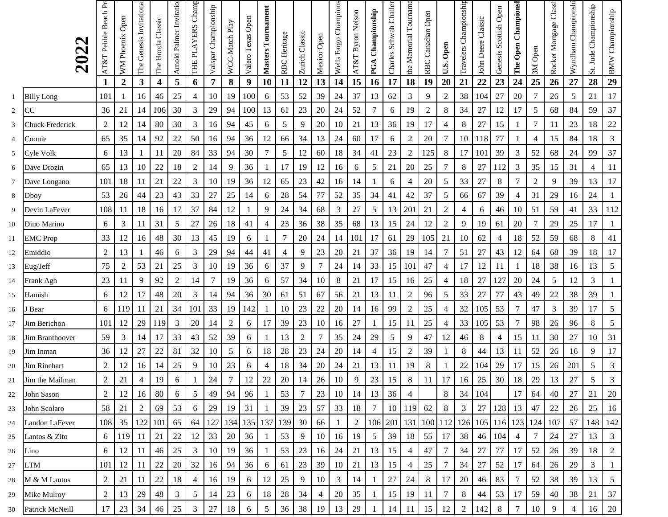|        |                                | AT&T Pebble Beach Pr | Open             | The Genesis Invitational |                   | Arnold Palmer Invitatio | THE PLAYERS Champ | Valspar Championship |                |                   | Masters Tournament |                |                |                 | Wells Fargo Champions | AT&T Byron Nelson | PGA Championship | Charles Schwab Challer | the Memorial Tourname | Open                |                     | Travelers Championship |                    | Genesis Scottish Open | Championsh |                | Rocket Mortgage Classi | Wyndham Championsh | St. Jude Championship | <b>BMW</b> Championship |
|--------|--------------------------------|----------------------|------------------|--------------------------|-------------------|-------------------------|-------------------|----------------------|----------------|-------------------|--------------------|----------------|----------------|-----------------|-----------------------|-------------------|------------------|------------------------|-----------------------|---------------------|---------------------|------------------------|--------------------|-----------------------|------------|----------------|------------------------|--------------------|-----------------------|-------------------------|
|        | 2023                           |                      | WM Phoenix       |                          | The Honda Classic |                         |                   |                      | WGC-Match Play | Valero Texas Open |                    | RBC Heritage   | Zurich Classic | Mexico Open     |                       |                   |                  |                        |                       | Canadian            | U.S. Open           |                        | John Deere Classic |                       | The Open   | Open           |                        |                    |                       |                         |
|        |                                |                      |                  |                          |                   |                         |                   |                      |                |                   |                    |                |                |                 |                       |                   |                  |                        |                       | RBC                 |                     |                        |                    |                       |            | 3M             |                        |                    |                       |                         |
|        |                                |                      | $\boldsymbol{2}$ | 3                        | 4                 | 5                       | 6                 | 7                    | 8              | 9                 | 10                 | 11<br>53       | 12<br>52       | 13<br>39        | 14<br>24              | 15<br>37          | 16               | 17                     | 18                    | 19                  | 20                  | 21<br>38               | 22                 | 23                    | 24<br>20   | 25<br>7        | 26                     | 27                 | 28<br>21              | 29<br>17                |
| 1      | <b>Billy Long</b><br><b>CC</b> | 101<br>36            | 21               | 16<br>14                 | 46<br>106         | 25<br>30                | 4<br>3            | 10<br>29             | 19<br>94       | 100<br>100        | 6<br>13            | 61             | 23             | 20              | 24                    | 52                | 13<br>$\tau$     | 62<br>6                | 3<br>19               | 9<br>$\overline{c}$ | $\overline{2}$<br>8 | 34                     | 104<br>27          | 27<br>12              | 17         | 5              | 26<br>68               | 5<br>84            | 59                    | 37                      |
| 2<br>3 | <b>Chuck Frederick</b>         | $\overline{2}$       | 12               | 14                       | 80                | 30                      | $\mathfrak{Z}$    | 16                   | 94             | 45                | 6                  | $\sqrt{5}$     | 9              | 20              | 10                    | 21                | 13               | 36                     | 19                    | 17                  | 4                   | 8                      | 27                 | 15                    |            | 7              | 11                     | 23                 | 18                    | 22                      |
| 4      | Coonie                         | 65                   | 35               | 14                       | 92                | 22                      | 50                | 16                   | 94             | 36                | 12                 | 66             | 34             | 13              | 24                    | 60                | 17               | 6                      | 2                     | 20                  | 7                   | 10                     | 118                | 77                    |            | 4              | 15                     | 84                 | 18                    | $\mathfrak{Z}$          |
| 5      | Cyle Volk                      | 6                    | 13               |                          | 11                | 20                      | 84                | 33                   | 94             | 30                | 7                  | $\sqrt{5}$     | 12             | 60              | 18                    | 34                | 41               | 23                     | $\overline{c}$        | 125                 | 8                   | 17                     | 101                | 39                    | 3          | 52             | 68                     | 24                 | 99                    | 37                      |
| 6      | Dave Drozin                    | 65                   | 13               | 10                       | 22                | 18                      | $\overline{c}$    | 14                   | 9              | 36                | $\mathbf{1}$       | 17             | 19             | 12              | 16                    | 6                 | 5                | 21                     | 20                    | 25                  | 7                   | 8                      | 27                 | 112                   | 3          | 35             | 15                     | 31                 | 4                     | 11                      |
| $\tau$ | Dave Longano                   | 101                  | 18               | 11                       | 21                | 22                      | 3                 | 10                   | 19             | 36                | 12                 | 65             | 23             | 42              | 16                    | 14                | 1                | 6                      | 4                     | 20                  | 5                   | 33                     | 27                 | 8                     | 7          | $\overline{2}$ | 9                      | 39                 | 13                    | 17                      |
| 8      | Dboy                           | 53                   | 26               | 44                       | 23                | 43                      | 33                | 27                   | 25             | 14                | 6                  | 28             | 54             | 77              | 52                    | 35                | 34               | 41                     | 42                    | 37                  | 5                   | 66                     | 67                 | 39                    | 4          | 31             | 29                     | 16                 | 24                    | $\mathbf{1}$            |
| 9      | Devin LaFever                  | 108                  | 11               | 18                       | 16                | 17                      | 37                | 84                   | 12             |                   | 9                  | 24             | 34             | 68              | 3                     | 27                | 5                | 13                     | 201                   | 21                  | 2                   | 4                      | 6                  | 46                    | 10         | 51             | 59                     | 41                 | 33                    | 112                     |
| 10     | Dino Marino                    | 6                    | 3                | 11                       | 31                | 5                       | 27                | 26                   | 18             | 41                | 4                  | 23             | 36             | 38              | 35                    | 68                | 13               | 15                     | 24                    | 12                  | $\overline{c}$      | 9                      | 19                 | 61                    | 20         | 7              | 29                     | 25                 | 17                    | $\mathbf{1}$            |
| 11     | <b>EMC</b> Prop                | 33                   | 12               | 16                       | 48                | 30                      | 13                | 45                   | 19             | 6                 | 1                  | $\overline{7}$ | 20             | 24              | 14                    | 101               | 17               | 61                     | 29                    | 105                 | 21                  | 10                     | 62                 | 4                     | 18         | 52             | 59                     | 68                 | 8                     | 41                      |
| 12     | Emiddio                        | $\overline{2}$       | 13               |                          | 46                | 6                       | 3                 | 29                   | 94             | 44                | 41                 | $\overline{4}$ | 9              | 23              | 20                    | 21                | 37               | 36                     | 19                    | 14                  | 7                   | 51                     | 27                 | 43                    | 12         | 64             | 68                     | 39                 | 18                    | 17                      |
| 13     | Eug/Jeff                       | 75                   | 2                | 53                       | 21                | 25                      | $\mathfrak{Z}$    | 10                   | 19             | 36                | 6                  | 37             | 9              | 7               | 24                    | 14                | 33               | 15                     | 101                   | 47                  | 4                   | 17                     | 12                 | 11                    |            | 18             | 38                     | 16                 | 13                    | $\sqrt{5}$              |
| 14     | Frank Agh                      | 23                   | 11               | 9                        | 92                | $\overline{2}$          | 14                | 7                    | 19             | 36                | 6                  | 57             | 34             | 10              | 8                     | 21                | 17               | 15                     | 16                    | 25                  | 4                   | 18                     | 27                 | 127                   | 20         | 24             | 5                      | 12                 | 3                     | $\mathbf{1}$            |
| 15     | Hamish                         | 6                    | 12               | 17                       | 48                | 20                      | 3                 | 14                   | 94             | 36                | 30                 | 61             | 51             | 67              | 56                    | 21                | 13               | 11                     | $\overline{c}$        | 96                  | 5                   | 33                     | 27                 | 77                    | 43         | 49             | 22                     | 38                 | 39                    | 1                       |
| 16     | Bear                           | 6                    | 119              | 11                       | 21                | 34                      | 101               | 33                   | 19             | 142               | 1                  | 10             | 23             | 22              | 20                    | 14                | 16               | 99                     | $\overline{2}$        | 25                  | 4                   | 32                     | 105                | 53                    | 7          | 47             | 3                      | 39                 | 17                    | 5                       |
| 17     | Jim Berichon                   | 101                  | 12               | 29                       | 119               | 3                       | 20                | 14                   | 2              | 6                 | 17                 | 39             | 23             | 10              | 16                    | 27                | 1                | 15                     | 11                    | 25                  | 4                   | 33                     | 105                | 53                    | 7          | 98             | 26                     | 96                 | $\,8\,$               | $\sqrt{5}$              |
| 18     | Jim Branthoover                | 59                   | 3                | 14                       | 17                | 33                      | 43                | 52                   | 39             | 6                 | 1                  | 13             | $\overline{c}$ | 7               | 35                    | 24                | 29               | 5                      | 9                     | 47                  | 12                  | 46                     | $8\,$              | 4                     | 15         | 11             | 30                     | 27                 | 10                    | 31                      |
| 19     | Jim Inman                      | 36                   | 12               | $27\,$                   | 22                | 81                      | 32                | 10                   | 5              | 6                 | 18                 | 28             | 23             | 24              | 20                    | 14                | $\overline{4}$   | 15                     | $\sqrt{2}$            | 39                  |                     | 8                      | 44                 | 13                    | 11         | 52             | 26                     | 16                 | 9                     | $17\,$                  |
| 20     | Jim Rinehart                   | 2                    | 12               | 16                       | 14                | 25                      | 9                 | 10                   | 23             | 6                 | 4                  | 18             | 34             | 20              | 24                    | 21                | 13               | 11                     | 19                    | 8                   |                     | 22                     | 104                | 29                    | 17         | 15             | 26                     | 201                | 5                     | 3                       |
| 21     | Jim the Mailman                | $\overline{c}$       | 21               | 4                        | 19                | 6                       | $\perp$           | 24                   | 7              | 12                | 22                 | 20             | 14             | 26              | 10                    | 9                 | 23               | 15                     | 8                     | 11                  | 17                  | 16                     | 25                 | 30                    | 18         | 29             | 13                     | 27                 | 5                     | 3                       |
| 22     | John Sason                     | $\overline{c}$       | 12               | 16                       | 80                | 6                       | 5                 | 49                   | 94             | 96                | 1                  | 53             | 7              | 23              | 10                    | 14                | 13               | 36                     | 4                     |                     | 8                   | 34                     | 104                |                       | 17         | 64             | 40                     | 27                 | 21                    | 20                      |
| 23     | John Scolaro                   | 58                   | 21               | $\overline{c}$           | 69                | 53                      | 6                 | 29                   | 19             | 31                |                    | 39             | 23             | 57              | 33                    | 18                | $\overline{7}$   | 10                     | 119                   | 62                  | 8                   | $\mathfrak{Z}$         | 27                 | 128                   | 13         | 47             | 22                     | 26                 | 25                    | 16                      |
| 24     | Landon LaFever                 | 108                  | 35               | 122                      | 101               | 65                      | 64                | 127                  | 134            | 135               | 137                | 139            | 30             | 66              |                       | 2                 |                  | $106$ 201              | 131                   | 100                 | 112                 | 126                    | 105 116 123 124    |                       |            |                | 107                    | 57                 | 148                   | 142                     |
| 25     | Lantos & Zito                  | 6                    | 119 <sup> </sup> | -11                      | 21                | 22                      | 12                | 33                   | 20             | 36                |                    | 53             | 9              | 10 <sup>1</sup> | 16                    | 19                | 5                | 39                     | 18                    | 55                  | 17                  | 38                     | 46                 | 104                   | 4          |                | 24                     | 27                 | 13                    | 3                       |
| 26     | Lino                           | 6                    | 12               | 11                       | 46                | 25                      | 3                 | 10                   | 19             | 36                |                    | 53             | 23             | 16 <sup>1</sup> | 24                    | 21                | 13               | 15                     | 4                     | 47                  | 7                   | 34                     | 27                 | 77                    | 17         | 52             | 26                     | 39                 | 18                    | $\overline{2}$          |
| 27     | <b>LTM</b>                     | 101                  | 12 <sup>1</sup>  | 11                       | 22                | 20                      | 32                | 16                   | 94             | 36                | 6                  | 61             | 23             | 39              | 10                    | 21                | 13               | 15                     | 4                     | 25                  | 7                   | 34                     | 27                 | 52                    | 17         | 64             | 26                     | 29                 | 3                     |                         |
| 28     | M & M Lantos                   | $\overline{c}$       | 21               | 11                       | 22                | 18                      | 4                 | 16                   | 19             | 6                 | 12                 | 25             | 9              | 10              | 3                     | 14                | 1                | $27\,$                 | 24                    | 8                   | 17                  | 20                     | 46                 | 83                    |            | 52             | 38                     | 39                 | 13                    | 5                       |
| 29     | Mike Mulroy                    | 2                    | 13               | 29                       | 48                | 3                       | 5                 | 14                   | 23             | 6                 | 18                 | 28             | 34             | 4               | 20                    | 35                | 1                | 15                     | 19                    | 11                  | 7                   | 8                      | 44                 | 53                    | 17         | 59             | 40                     | 38                 | 21                    | 37                      |
| 30     | Patrick McNeill                | 17                   | 23               | 34                       | 46                | 25                      | 3                 | 27                   | 18             | 6                 | 5                  | 36             | 38             | 19              | 13                    | 29                | $\mathbf{1}$     | 14                     | 11                    | 15                  | 12                  | 2                      | 142                | 8                     |            | 10             | 9                      | 4                  | 16                    | 20                      |